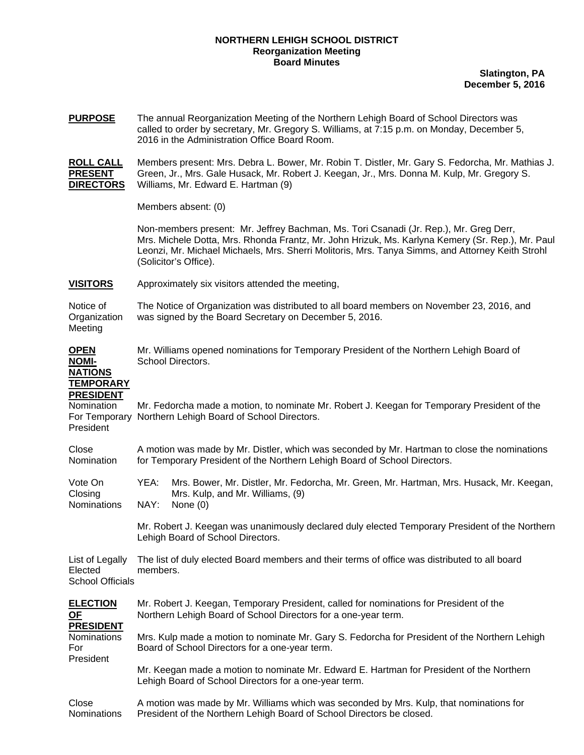## **NORTHERN LEHIGH SCHOOL DISTRICT Reorganization Meeting Board Minutes**

**Slatington, PA December 5, 2016**

| <b>PURPOSE</b>                                                                      | The annual Reorganization Meeting of the Northern Lehigh Board of School Directors was<br>called to order by secretary, Mr. Gregory S. Williams, at 7:15 p.m. on Monday, December 5,<br>2016 in the Administration Office Board Room.                                                                                  |                                                                                                                                           |  |  |  |  |
|-------------------------------------------------------------------------------------|------------------------------------------------------------------------------------------------------------------------------------------------------------------------------------------------------------------------------------------------------------------------------------------------------------------------|-------------------------------------------------------------------------------------------------------------------------------------------|--|--|--|--|
| <b>ROLL CALL</b><br><b>PRESENT</b><br><b>DIRECTORS</b>                              | Members present: Mrs. Debra L. Bower, Mr. Robin T. Distler, Mr. Gary S. Fedorcha, Mr. Mathias J.<br>Green, Jr., Mrs. Gale Husack, Mr. Robert J. Keegan, Jr., Mrs. Donna M. Kulp, Mr. Gregory S.<br>Williams, Mr. Edward E. Hartman (9)                                                                                 |                                                                                                                                           |  |  |  |  |
|                                                                                     | Members absent: (0)                                                                                                                                                                                                                                                                                                    |                                                                                                                                           |  |  |  |  |
|                                                                                     | Non-members present: Mr. Jeffrey Bachman, Ms. Tori Csanadi (Jr. Rep.), Mr. Greg Derr,<br>Mrs. Michele Dotta, Mrs. Rhonda Frantz, Mr. John Hrizuk, Ms. Karlyna Kemery (Sr. Rep.), Mr. Paul<br>Leonzi, Mr. Michael Michaels, Mrs. Sherri Molitoris, Mrs. Tanya Simms, and Attorney Keith Strohl<br>(Solicitor's Office). |                                                                                                                                           |  |  |  |  |
| <b>VISITORS</b>                                                                     | Approximately six visitors attended the meeting,                                                                                                                                                                                                                                                                       |                                                                                                                                           |  |  |  |  |
| Notice of<br>Organization<br>Meeting                                                | The Notice of Organization was distributed to all board members on November 23, 2016, and<br>was signed by the Board Secretary on December 5, 2016.                                                                                                                                                                    |                                                                                                                                           |  |  |  |  |
| <b>OPEN</b><br><b>NOMI-</b><br><b>NATIONS</b><br><b>TEMPORARY</b>                   | Mr. Williams opened nominations for Temporary President of the Northern Lehigh Board of<br>School Directors.                                                                                                                                                                                                           |                                                                                                                                           |  |  |  |  |
| <b>PRESIDENT</b><br>Nomination<br>For Temporary<br>President                        | Mr. Fedorcha made a motion, to nominate Mr. Robert J. Keegan for Temporary President of the<br>Northern Lehigh Board of School Directors.                                                                                                                                                                              |                                                                                                                                           |  |  |  |  |
| Close<br>Nomination                                                                 | A motion was made by Mr. Distler, which was seconded by Mr. Hartman to close the nominations<br>for Temporary President of the Northern Lehigh Board of School Directors.                                                                                                                                              |                                                                                                                                           |  |  |  |  |
| Vote On<br>Closing<br>Nominations                                                   | YEA:<br>NAY:                                                                                                                                                                                                                                                                                                           | Mrs. Bower, Mr. Distler, Mr. Fedorcha, Mr. Green, Mr. Hartman, Mrs. Husack, Mr. Keegan,<br>Mrs. Kulp, and Mr. Williams, (9)<br>None $(0)$ |  |  |  |  |
|                                                                                     | Mr. Robert J. Keegan was unanimously declared duly elected Temporary President of the Northern<br>Lehigh Board of School Directors.                                                                                                                                                                                    |                                                                                                                                           |  |  |  |  |
| List of Legally<br>Elected<br><b>School Officials</b>                               | The list of duly elected Board members and their terms of office was distributed to all board<br>members.                                                                                                                                                                                                              |                                                                                                                                           |  |  |  |  |
| <b>ELECTION</b><br><u>OF</u><br><b>PRESIDENT</b><br>Nominations<br>For<br>President | Mr. Robert J. Keegan, Temporary President, called for nominations for President of the<br>Northern Lehigh Board of School Directors for a one-year term.                                                                                                                                                               |                                                                                                                                           |  |  |  |  |
|                                                                                     | Mrs. Kulp made a motion to nominate Mr. Gary S. Fedorcha for President of the Northern Lehigh<br>Board of School Directors for a one-year term.                                                                                                                                                                        |                                                                                                                                           |  |  |  |  |
|                                                                                     | Mr. Keegan made a motion to nominate Mr. Edward E. Hartman for President of the Northern<br>Lehigh Board of School Directors for a one-year term.                                                                                                                                                                      |                                                                                                                                           |  |  |  |  |
| Close<br>Nominations                                                                | A motion was made by Mr. Williams which was seconded by Mrs. Kulp, that nominations for<br>President of the Northern Lehigh Board of School Directors be closed.                                                                                                                                                       |                                                                                                                                           |  |  |  |  |